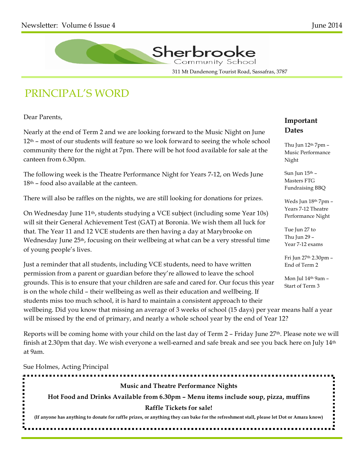

311 Mt Dandenong Tourist Road, Sassafras, 3787

# PRINCIPAL'S WORD

#### Dear Parents,

Nearly at the end of Term 2 and we are looking forward to the Music Night on June  $12<sup>th</sup>$  – most of our students will feature so we look forward to seeing the whole school community there for the night at 7pm. There will be hot food available for sale at the canteen from 6.30pm.

The following week is the Theatre Performance Night for Years 7-12, on Weds June  $18<sup>th</sup>$  – food also available at the canteen.

There will also be raffles on the nights, we are still looking for donations for prizes.

On Wednesday June 11th, students studying a VCE subject (including some Year 10s) will sit their General Achievement Test (GAT) at Boronia. We wish them all luck for that. The Year 11 and 12 VCE students are then having a day at Marybrooke on Wednesday June 25<sup>th</sup>, focusing on their wellbeing at what can be a very stressful time of young people's lives.

Just a reminder that all students, including VCE students, need to have written permission from a parent or guardian before they're allowed to leave the school grounds. This is to ensure that your children are safe and cared for. Our focus this year is on the whole child – their wellbeing as well as their education and wellbeing. If students miss too much school, it is hard to maintain a consistent approach to their

# **Important Dates**

Thu Jun  $12<sup>th</sup>$  7pm  $-$ Music Performance Night

Sun Jun 15th – Masters FTG Fundraising BBQ

Weds Jun 18th 7pm – Years 7-12 Theatre Performance Night

Tue Jun 27 to Thu Jun 29 – Year 7-12 exams

Fri Jun 27th 2.30pm – End of Term 2

Mon Jul 14th 9am – Start of Term 3

wellbeing. Did you know that missing an average of 3 weeks of school (15 days) per year means half a year will be missed by the end of primary, and nearly a whole school year by the end of Year 12?

Reports will be coming home with your child on the last day of Term 2 – Friday June 27th. Please note we will finish at 2.30pm that day. We wish everyone a well-earned and safe break and see you back here on July 14<sup>th</sup> at 9am.

Sue Holmes, Acting Principal

| <b>Music and Theatre Performance Nights</b>                                                                                             |
|-----------------------------------------------------------------------------------------------------------------------------------------|
| Hot Food and Drinks Available from 6.30pm - Menu items include soup, pizza, muffins                                                     |
| <b>Raffle Tickets for sale!</b>                                                                                                         |
| (If anyone has anything to donate for raffle prizes, or anything they can bake for the refreshment stall, please let Dot or Amara know) |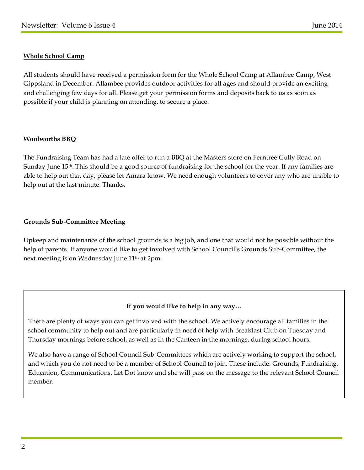#### **Whole School Camp**

All students should have received a permission form for the Whole School Camp at Allambee Camp, West Gippsland in December. Allambee provides outdoor activities for all ages and should provide an exciting and challenging few days for all. Please get your permission forms and deposits back to us as soon as possible if your child is planning on attending, to secure a place.

#### **Woolworths BBQ**

The Fundraising Team has had a late offer to run a BBQ at the Masters store on Ferntree Gully Road on Sunday June 15<sup>th</sup>. This should be a good source of fundraising for the school for the year. If any families are able to help out that day, please let Amara know. We need enough volunteers to cover any who are unable to help out at the last minute. Thanks.

## **Grounds Sub-Committee Meeting**

Upkeep and maintenance of the school grounds is a big job, and one that would not be possible without the help of parents. If anyone would like to get involved with School Council's Grounds Sub-Committee, the next meeting is on Wednesday June 11<sup>th</sup> at 2pm.

## **If you would like to help in any way…**

There are plenty of ways you can get involved with the school. We actively encourage all families in the school community to help out and are particularly in need of help with Breakfast Club on Tuesday and Thursday mornings before school, as well as in the Canteen in the mornings, during school hours.

We also have a range of School Council Sub-Committees which are actively working to support the school, and which you do not need to be a member of School Council to join. These include: Grounds, Fundraising, Education, Communications. Let Dot know and she will pass on the message to the relevant School Council member.